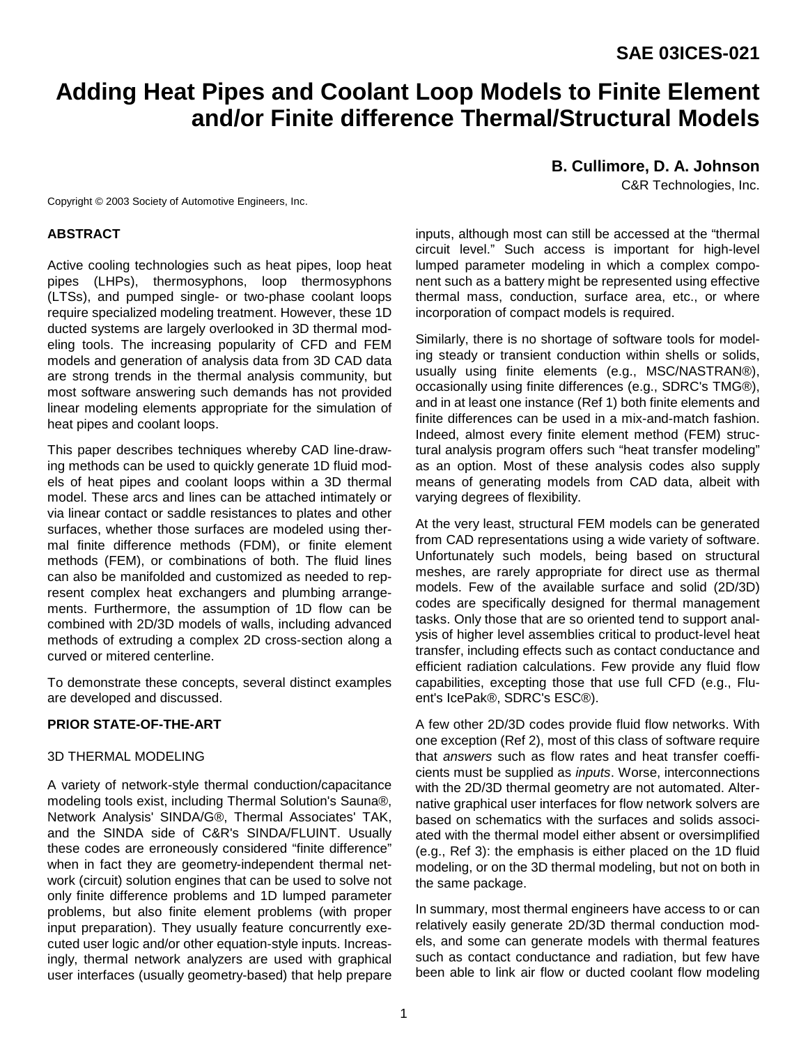# **Adding Heat Pipes and Coolant Loop Models to Finite Element and/or Finite difference Thermal/Structural Models**

Copyright © 2003 Society of Automotive Engineers, Inc.

#### **ABSTRACT**

Active cooling technologies such as heat pipes, loop heat pipes (LHPs), thermosyphons, loop thermosyphons (LTSs), and pumped single- or two-phase coolant loops require specialized modeling treatment. However, these 1D ducted systems are largely overlooked in 3D thermal modeling tools. The increasing popularity of CFD and FEM models and generation of analysis data from 3D CAD data are strong trends in the thermal analysis community, but most software answering such demands has not provided linear modeling elements appropriate for the simulation of heat pipes and coolant loops.

This paper describes techniques whereby CAD line-drawing methods can be used to quickly generate 1D fluid models of heat pipes and coolant loops within a 3D thermal model. These arcs and lines can be attached intimately or via linear contact or saddle resistances to plates and other surfaces, whether those surfaces are modeled using thermal finite difference methods (FDM), or finite element methods (FEM), or combinations of both. The fluid lines can also be manifolded and customized as needed to represent complex heat exchangers and plumbing arrangements. Furthermore, the assumption of 1D flow can be combined with 2D/3D models of walls, including advanced methods of extruding a complex 2D cross-section along a curved or mitered centerline.

To demonstrate these concepts, several distinct examples are developed and discussed.

### **PRIOR STATE-OF-THE-ART**

#### 3D THERMAL MODELING

A variety of network-style thermal conduction/capacitance modeling tools exist, including Thermal Solution's Sauna®, Network Analysis' SINDA/G®, Thermal Associates' TAK, and the SINDA side of C&R's SINDA/FLUINT. Usually these codes are erroneously considered "finite difference" when in fact they are geometry-independent thermal network (circuit) solution engines that can be used to solve not only finite difference problems and 1D lumped parameter problems, but also finite element problems (with proper input preparation). They usually feature concurrently executed user logic and/or other equation-style inputs. Increasingly, thermal network analyzers are used with graphical user interfaces (usually geometry-based) that help prepare

**B. Cullimore, D. A. Johnson**

C&R Technologies, Inc.

inputs, although most can still be accessed at the "thermal circuit level." Such access is important for high-level lumped parameter modeling in which a complex component such as a battery might be represented using effective thermal mass, conduction, surface area, etc., or where incorporation of compact models is required.

Similarly, there is no shortage of software tools for modeling steady or transient conduction within shells or solids, usually using finite elements (e.g., MSC/NASTRAN®), occasionally using finite differences (e.g., SDRC's TMG®), and in at least one instance (Ref 1) both finite elements and finite differences can be used in a mix-and-match fashion. Indeed, almost every finite element method (FEM) structural analysis program offers such "heat transfer modeling" as an option. Most of these analysis codes also supply means of generating models from CAD data, albeit with varying degrees of flexibility.

At the very least, structural FEM models can be generated from CAD representations using a wide variety of software. Unfortunately such models, being based on structural meshes, are rarely appropriate for direct use as thermal models. Few of the available surface and solid (2D/3D) codes are specifically designed for thermal management tasks. Only those that are so oriented tend to support analysis of higher level assemblies critical to product-level heat transfer, including effects such as contact conductance and efficient radiation calculations. Few provide any fluid flow capabilities, excepting those that use full CFD (e.g., Fluent's IcePak®, SDRC's ESC®).

A few other 2D/3D codes provide fluid flow networks. With one exception (Ref 2), most of this class of software require that *answers* such as flow rates and heat transfer coefficients must be supplied as *inputs*. Worse, interconnections with the 2D/3D thermal geometry are not automated. Alternative graphical user interfaces for flow network solvers are based on schematics with the surfaces and solids associated with the thermal model either absent or oversimplified (e.g., Ref 3): the emphasis is either placed on the 1D fluid modeling, or on the 3D thermal modeling, but not on both in the same package.

In summary, most thermal engineers have access to or can relatively easily generate 2D/3D thermal conduction models, and some can generate models with thermal features such as contact conductance and radiation, but few have been able to link air flow or ducted coolant flow modeling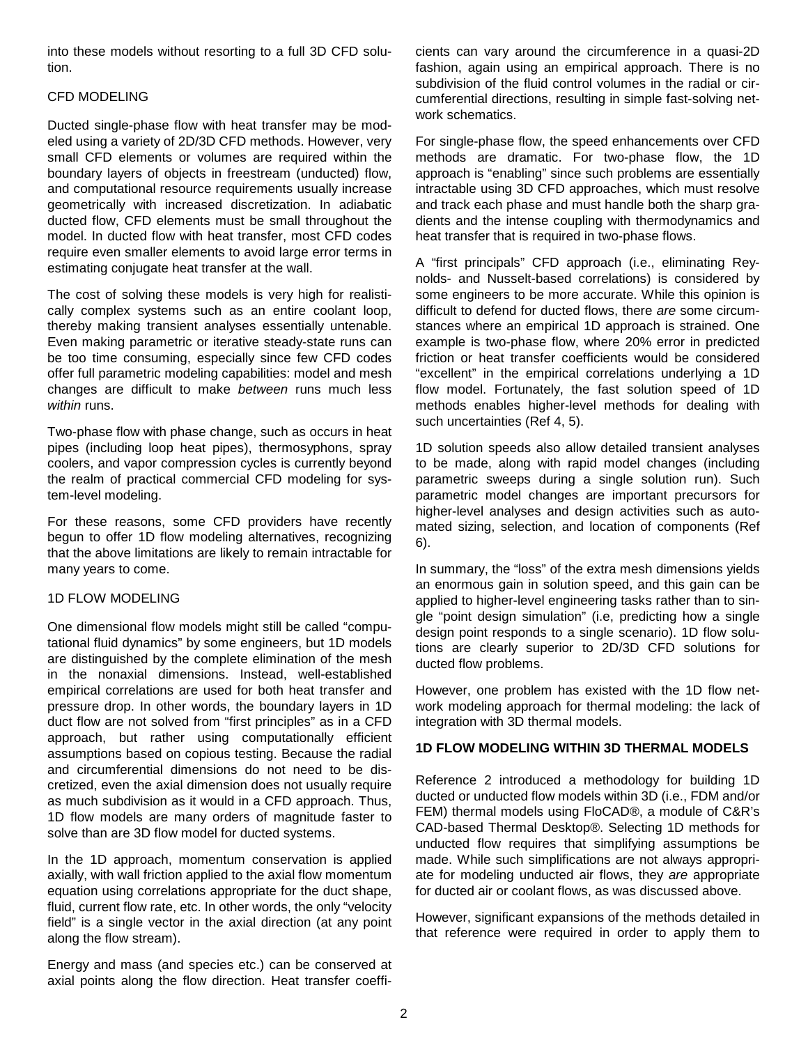into these models without resorting to a full 3D CFD solution.

# CFD MODELING

Ducted single-phase flow with heat transfer may be modeled using a variety of 2D/3D CFD methods. However, very small CFD elements or volumes are required within the boundary layers of objects in freestream (unducted) flow, and computational resource requirements usually increase geometrically with increased discretization. In adiabatic ducted flow, CFD elements must be small throughout the model. In ducted flow with heat transfer, most CFD codes require even smaller elements to avoid large error terms in estimating conjugate heat transfer at the wall.

The cost of solving these models is very high for realistically complex systems such as an entire coolant loop, thereby making transient analyses essentially untenable. Even making parametric or iterative steady-state runs can be too time consuming, especially since few CFD codes offer full parametric modeling capabilities: model and mesh changes are difficult to make *between* runs much less *within* runs.

Two-phase flow with phase change, such as occurs in heat pipes (including loop heat pipes), thermosyphons, spray coolers, and vapor compression cycles is currently beyond the realm of practical commercial CFD modeling for system-level modeling.

For these reasons, some CFD providers have recently begun to offer 1D flow modeling alternatives, recognizing that the above limitations are likely to remain intractable for many years to come.

## 1D FLOW MODELING

One dimensional flow models might still be called "computational fluid dynamics" by some engineers, but 1D models are distinguished by the complete elimination of the mesh in the nonaxial dimensions. Instead, well-established empirical correlations are used for both heat transfer and pressure drop. In other words, the boundary layers in 1D duct flow are not solved from "first principles" as in a CFD approach, but rather using computationally efficient assumptions based on copious testing. Because the radial and circumferential dimensions do not need to be discretized, even the axial dimension does not usually require as much subdivision as it would in a CFD approach. Thus, 1D flow models are many orders of magnitude faster to solve than are 3D flow model for ducted systems.

In the 1D approach, momentum conservation is applied axially, with wall friction applied to the axial flow momentum equation using correlations appropriate for the duct shape, fluid, current flow rate, etc. In other words, the only "velocity field" is a single vector in the axial direction (at any point along the flow stream).

Energy and mass (and species etc.) can be conserved at axial points along the flow direction. Heat transfer coefficients can vary around the circumference in a quasi-2D fashion, again using an empirical approach. There is no subdivision of the fluid control volumes in the radial or circumferential directions, resulting in simple fast-solving network schematics.

For single-phase flow, the speed enhancements over CFD methods are dramatic. For two-phase flow, the 1D approach is "enabling" since such problems are essentially intractable using 3D CFD approaches, which must resolve and track each phase and must handle both the sharp gradients and the intense coupling with thermodynamics and heat transfer that is required in two-phase flows.

A "first principals" CFD approach (i.e., eliminating Reynolds- and Nusselt-based correlations) is considered by some engineers to be more accurate. While this opinion is difficult to defend for ducted flows, there *are* some circumstances where an empirical 1D approach is strained. One example is two-phase flow, where 20% error in predicted friction or heat transfer coefficients would be considered "excellent" in the empirical correlations underlying a 1D flow model. Fortunately, the fast solution speed of 1D methods enables higher-level methods for dealing with such uncertainties (Ref 4, 5).

1D solution speeds also allow detailed transient analyses to be made, along with rapid model changes (including parametric sweeps during a single solution run). Such parametric model changes are important precursors for higher-level analyses and design activities such as automated sizing, selection, and location of components (Ref 6).

In summary, the "loss" of the extra mesh dimensions yields an enormous gain in solution speed, and this gain can be applied to higher-level engineering tasks rather than to single "point design simulation" (i.e, predicting how a single design point responds to a single scenario). 1D flow solutions are clearly superior to 2D/3D CFD solutions for ducted flow problems.

However, one problem has existed with the 1D flow network modeling approach for thermal modeling: the lack of integration with 3D thermal models.

# **1D FLOW MODELING WITHIN 3D THERMAL MODELS**

Reference 2 introduced a methodology for building 1D ducted or unducted flow models within 3D (i.e., FDM and/or FEM) thermal models using FloCAD®, a module of C&R's CAD-based Thermal Desktop®. Selecting 1D methods for unducted flow requires that simplifying assumptions be made. While such simplifications are not always appropriate for modeling unducted air flows, they *are* appropriate for ducted air or coolant flows, as was discussed above.

However, significant expansions of the methods detailed in that reference were required in order to apply them to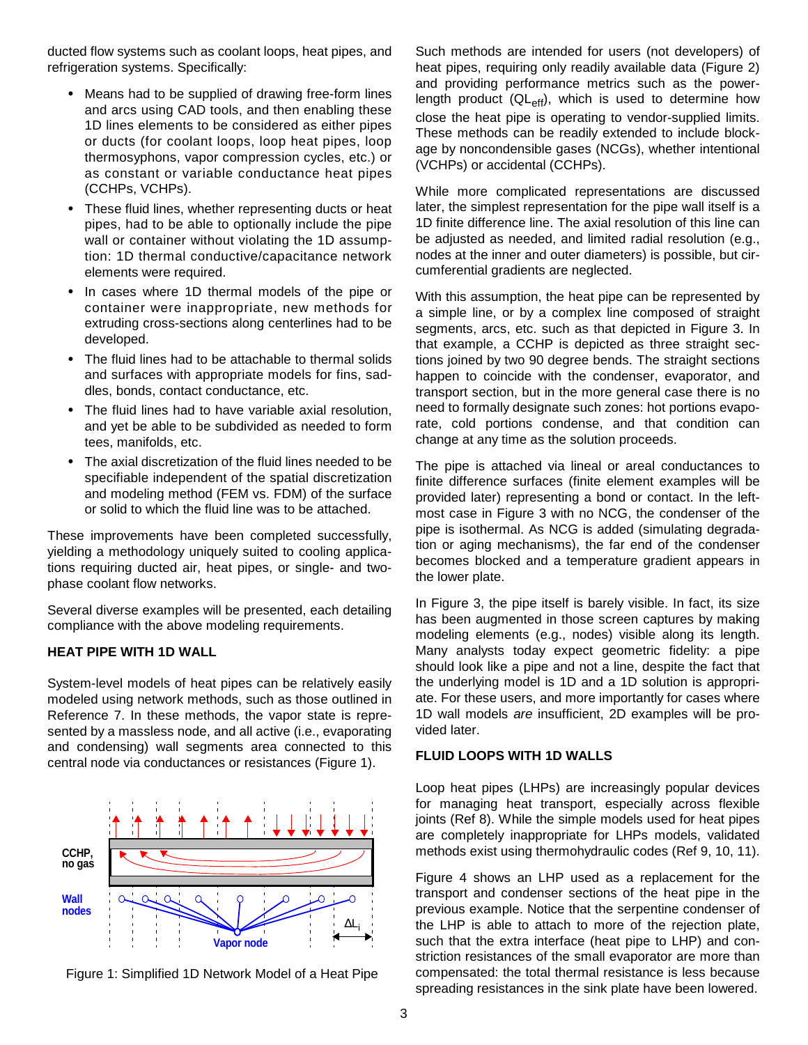ducted flow systems such as coolant loops, heat pipes, and refrigeration systems. Specifically:

- **•** Means had to be supplied of drawing free-form lines and arcs using CAD tools, and then enabling these 1D lines elements to be considered as either pipes or ducts (for coolant loops, loop heat pipes, loop thermosyphons, vapor compression cycles, etc.) or as constant or variable conductance heat pipes (CCHPs, VCHPs).
- **•** These fluid lines, whether representing ducts or heat pipes, had to be able to optionally include the pipe wall or container without violating the 1D assumption: 1D thermal conductive/capacitance network elements were required.
- **•** In cases where 1D thermal models of the pipe or container were inappropriate, new methods for extruding cross-sections along centerlines had to be developed.
- **•** The fluid lines had to be attachable to thermal solids and surfaces with appropriate models for fins, saddles, bonds, contact conductance, etc.
- **•** The fluid lines had to have variable axial resolution, and yet be able to be subdivided as needed to form tees, manifolds, etc.
- **•** The axial discretization of the fluid lines needed to be specifiable independent of the spatial discretization and modeling method (FEM vs. FDM) of the surface or solid to which the fluid line was to be attached.

These improvements have been completed successfully, yielding a methodology uniquely suited to cooling applications requiring ducted air, heat pipes, or single- and twophase coolant flow networks.

Several diverse examples will be presented, each detailing compliance with the above modeling requirements.

# **HEAT PIPE WITH 1D WALL**

System-level models of heat pipes can be relatively easily modeled using network methods, such as those outlined in Reference 7. In these methods, the vapor state is represented by a massless node, and all active (i.e., evaporating and condensing) wall segments area connected to this central node via conductances or resistances (Figure 1).



Figure 1: Simplified 1D Network Model of a Heat Pipe

Such methods are intended for users (not developers) of heat pipes, requiring only readily available data (Figure 2) and providing performance metrics such as the powerlength product  $(QL_{eff})$ , which is used to determine how close the heat pipe is operating to vendor-supplied limits. These methods can be readily extended to include blockage by noncondensible gases (NCGs), whether intentional (VCHPs) or accidental (CCHPs).

While more complicated representations are discussed later, the simplest representation for the pipe wall itself is a 1D finite difference line. The axial resolution of this line can be adjusted as needed, and limited radial resolution (e.g., nodes at the inner and outer diameters) is possible, but circumferential gradients are neglected.

With this assumption, the heat pipe can be represented by a simple line, or by a complex line composed of straight segments, arcs, etc. such as that depicted in Figure 3. In that example, a CCHP is depicted as three straight sections joined by two 90 degree bends. The straight sections happen to coincide with the condenser, evaporator, and transport section, but in the more general case there is no need to formally designate such zones: hot portions evaporate, cold portions condense, and that condition can change at any time as the solution proceeds.

The pipe is attached via lineal or areal conductances to finite difference surfaces (finite element examples will be provided later) representing a bond or contact. In the leftmost case in Figure 3 with no NCG, the condenser of the pipe is isothermal. As NCG is added (simulating degradation or aging mechanisms), the far end of the condenser becomes blocked and a temperature gradient appears in the lower plate.

In Figure 3, the pipe itself is barely visible. In fact, its size has been augmented in those screen captures by making modeling elements (e.g., nodes) visible along its length. Many analysts today expect geometric fidelity: a pipe should look like a pipe and not a line, despite the fact that the underlying model is 1D and a 1D solution is appropriate. For these users, and more importantly for cases where 1D wall models *are* insufficient, 2D examples will be provided later.

#### **FLUID LOOPS WITH 1D WALLS**

Loop heat pipes (LHPs) are increasingly popular devices for managing heat transport, especially across flexible joints (Ref 8). While the simple models used for heat pipes are completely inappropriate for LHPs models, validated methods exist using thermohydraulic codes (Ref 9, 10, 11).

Figure 4 shows an LHP used as a replacement for the transport and condenser sections of the heat pipe in the previous example. Notice that the serpentine condenser of the LHP is able to attach to more of the rejection plate, such that the extra interface (heat pipe to LHP) and constriction resistances of the small evaporator are more than compensated: the total thermal resistance is less because spreading resistances in the sink plate have been lowered.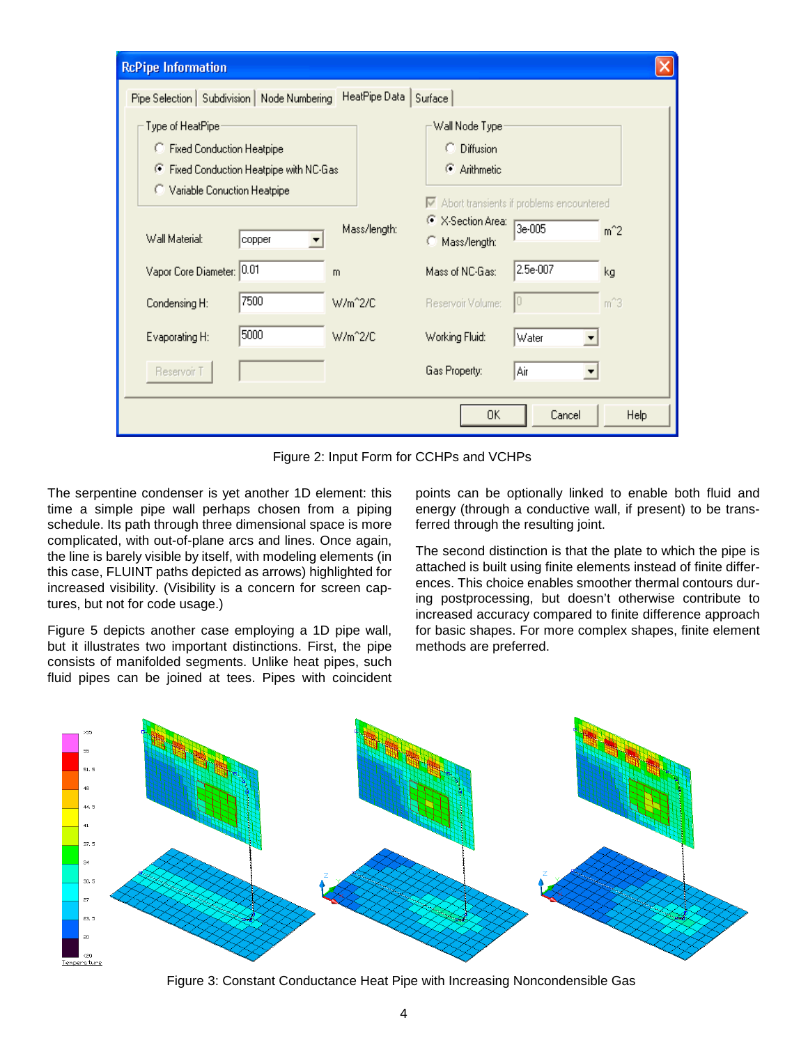| <b>RcPipe Information</b>                                                 |        |                     |                                   |                                            |             |  |
|---------------------------------------------------------------------------|--------|---------------------|-----------------------------------|--------------------------------------------|-------------|--|
| HeatPipe Data<br>Pipe Selection   Subdivision   Node Numbering<br>Surface |        |                     |                                   |                                            |             |  |
| Type of HeatPipe:                                                         |        |                     | Wall Node Type                    |                                            |             |  |
| <b>C</b> Fixed Conduction Heatpipe                                        |        |                     | C Diffusion                       |                                            |             |  |
| Fixed Conduction Heatpipe with NC-Gas<br>С                                |        |                     | Arithmetic                        |                                            |             |  |
| C Variable Conuction Heatpipe                                             |        |                     |                                   | ↓ Abort transients if problems encountered |             |  |
| Wall Material:                                                            | copper | Mass/length:        | C X-Section Area:<br>Mass/length: | $3e-005$                                   | $m^2$       |  |
| Vapor Core Diameter: 0.01                                                 |        | m                   | Mass of NC-Gas:                   | 2.5e-007                                   | kg          |  |
| Condensing H:                                                             | 7500   | W/m <sup>2</sup> /C | Reservoir Volume:                 |                                            | $m^23$      |  |
| Evaporating H:                                                            | 5000   | W/m <sup>2</sup> /C | Working Fluid:                    | Water                                      |             |  |
| Reservoir T                                                               |        |                     | Gas Property:                     | Air                                        |             |  |
|                                                                           |        |                     | OΚ                                | Cancel                                     | <b>Help</b> |  |

Figure 2: Input Form for CCHPs and VCHPs

The serpentine condenser is yet another 1D element: this time a simple pipe wall perhaps chosen from a piping schedule. Its path through three dimensional space is more complicated, with out-of-plane arcs and lines. Once again, the line is barely visible by itself, with modeling elements (in this case, FLUINT paths depicted as arrows) highlighted for increased visibility. (Visibility is a concern for screen captures, but not for code usage.)

Figure 5 depicts another case employing a 1D pipe wall, but it illustrates two important distinctions. First, the pipe consists of manifolded segments. Unlike heat pipes, such fluid pipes can be joined at tees. Pipes with coincident points can be optionally linked to enable both fluid and energy (through a conductive wall, if present) to be transferred through the resulting joint.

The second distinction is that the plate to which the pipe is attached is built using finite elements instead of finite differences. This choice enables smoother thermal contours during postprocessing, but doesn't otherwise contribute to increased accuracy compared to finite difference approach for basic shapes. For more complex shapes, finite element methods are preferred.



Figure 3: Constant Conductance Heat Pipe with Increasing Noncondensible Gas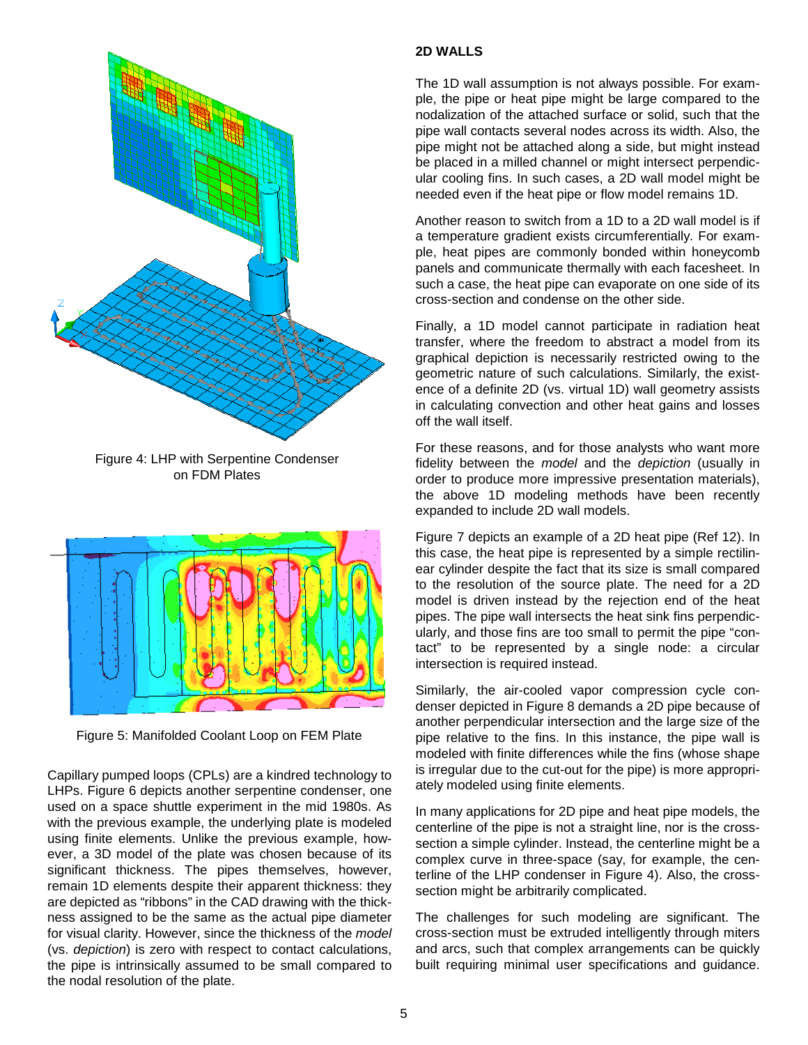

Figure 4: LHP with Serpentine Condenser on FDM Plates



Figure 5: Manifolded Coolant Loop on FEM Plate

Capillary pumped loops (CPLs) are a kindred technology to LHPs. Figure 6 depicts another serpentine condenser, one used on a space shuttle experiment in the mid 1980s. As with the previous example, the underlying plate is modeled using finite elements. Unlike the previous example, however, a 3D model of the plate was chosen because of its significant thickness. The pipes themselves, however, remain 1D elements despite their apparent thickness: they are depicted as "ribbons" in the CAD drawing with the thickness assigned to be the same as the actual pipe diameter for visual clarity. However, since the thickness of the *model* (vs. *depiction*) is zero with respect to contact calculations, the pipe is intrinsically assumed to be small compared to the nodal resolution of the plate.

# **2D WALLS**

The 1D wall assumption is not always possible. For example, the pipe or heat pipe might be large compared to the nodalization of the attached surface or solid, such that the pipe wall contacts several nodes across its width. Also, the pipe might not be attached along a side, but might instead be placed in a milled channel or might intersect perpendicular cooling fins. In such cases, a 2D wall model might be needed even if the heat pipe or flow model remains 1D.

Another reason to switch from a 1D to a 2D wall model is if a temperature gradient exists circumferentially. For example, heat pipes are commonly bonded within honeycomb panels and communicate thermally with each facesheet. In such a case, the heat pipe can evaporate on one side of its cross-section and condense on the other side.

Finally, a 1D model cannot participate in radiation heat transfer, where the freedom to abstract a model from its graphical depiction is necessarily restricted owing to the geometric nature of such calculations. Similarly, the existence of a definite 2D (vs. virtual 1D) wall geometry assists in calculating convection and other heat gains and losses off the wall itself.

For these reasons, and for those analysts who want more fidelity between the *model* and the *depiction* (usually in order to produce more impressive presentation materials), the above 1D modeling methods have been recently expanded to include 2D wall models.

Figure 7 depicts an example of a 2D heat pipe (Ref 12). In this case, the heat pipe is represented by a simple rectilinear cylinder despite the fact that its size is small compared to the resolution of the source plate. The need for a 2D model is driven instead by the rejection end of the heat pipes. The pipe wall intersects the heat sink fins perpendicularly, and those fins are too small to permit the pipe "contact" to be represented by a single node: a circular intersection is required instead.

Similarly, the air-cooled vapor compression cycle condenser depicted in Figure 8 demands a 2D pipe because of another perpendicular intersection and the large size of the pipe relative to the fins. In this instance, the pipe wall is modeled with finite differences while the fins (whose shape is irregular due to the cut-out for the pipe) is more appropriately modeled using finite elements.

In many applications for 2D pipe and heat pipe models, the centerline of the pipe is not a straight line, nor is the crosssection a simple cylinder. Instead, the centerline might be a complex curve in three-space (say, for example, the centerline of the LHP condenser in Figure 4). Also, the crosssection might be arbitrarily complicated.

The challenges for such modeling are significant. The cross-section must be extruded intelligently through miters and arcs, such that complex arrangements can be quickly built requiring minimal user specifications and guidance.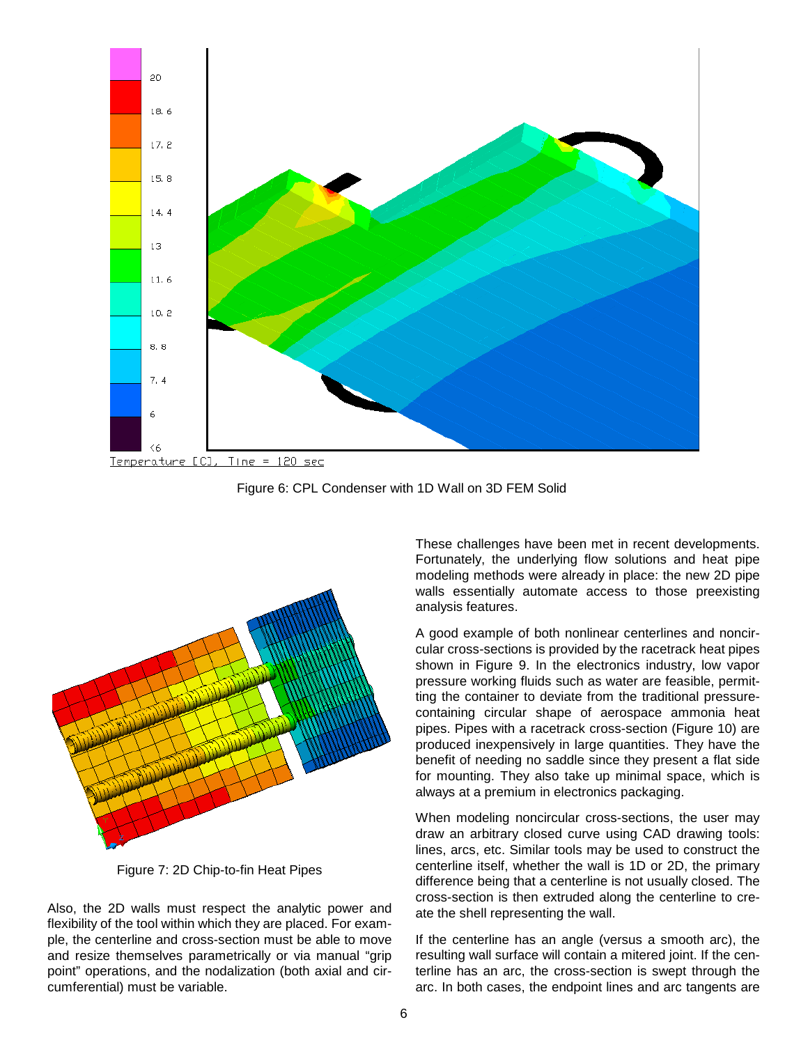

<u> Temperature [C], Time = 120 sec</u>

Figure 6: CPL Condenser with 1D Wall on 3D FEM Solid



Figure 7: 2D Chip-to-fin Heat Pipes

Also, the 2D walls must respect the analytic power and flexibility of the tool within which they are placed. For example, the centerline and cross-section must be able to move and resize themselves parametrically or via manual "grip point" operations, and the nodalization (both axial and circumferential) must be variable.

These challenges have been met in recent developments. Fortunately, the underlying flow solutions and heat pipe modeling methods were already in place: the new 2D pipe walls essentially automate access to those preexisting analysis features.

A good example of both nonlinear centerlines and noncircular cross-sections is provided by the racetrack heat pipes shown in Figure 9. In the electronics industry, low vapor pressure working fluids such as water are feasible, permitting the container to deviate from the traditional pressurecontaining circular shape of aerospace ammonia heat pipes. Pipes with a racetrack cross-section (Figure 10) are produced inexpensively in large quantities. They have the benefit of needing no saddle since they present a flat side for mounting. They also take up minimal space, which is always at a premium in electronics packaging.

When modeling noncircular cross-sections, the user may draw an arbitrary closed curve using CAD drawing tools: lines, arcs, etc. Similar tools may be used to construct the centerline itself, whether the wall is 1D or 2D, the primary difference being that a centerline is not usually closed. The cross-section is then extruded along the centerline to create the shell representing the wall.

If the centerline has an angle (versus a smooth arc), the resulting wall surface will contain a mitered joint. If the centerline has an arc, the cross-section is swept through the arc. In both cases, the endpoint lines and arc tangents are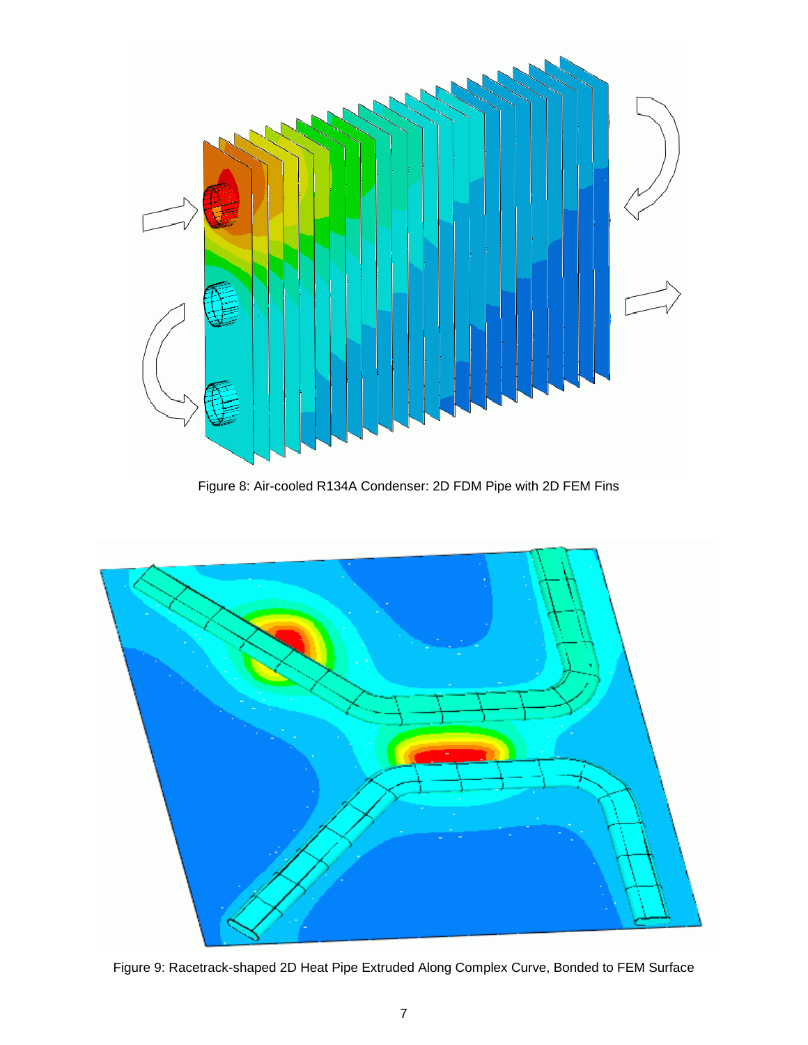

Figure 8: Air-cooled R134A Condenser: 2D FDM Pipe with 2D FEM Fins



Figure 9: Racetrack-shaped 2D Heat Pipe Extruded Along Complex Curve, Bonded to FEM Surface